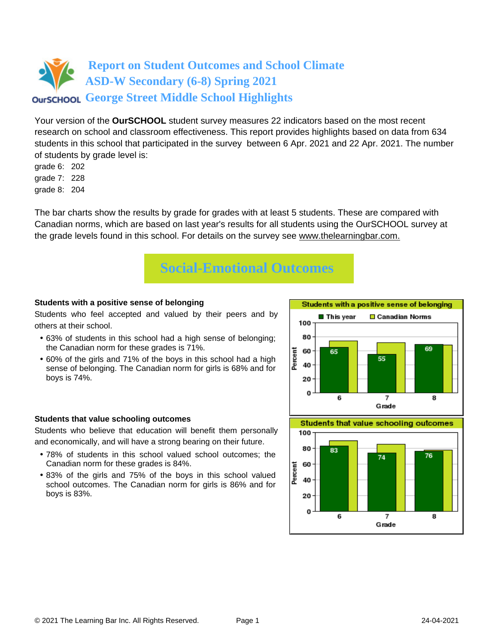Your version of the **OurSCHOOL** student survey measures 22 indicators based on the most recent research on school and classroom effectiveness. This report provides highlights based on data from 634 students in this school that participated in the survey between 6 Apr. 2021 and 22 Apr. 2021. The number of students by grade level is:

- grade 6: 202
- grade 7: 228
- grade 8: 204

The bar charts show the results by grade for grades with at least 5 students. These are compared with Canadian norms, which are based on last year's results for all students using the OurSCHOOL survey at the grade levels found in this school. For details on the survey see [www.thelearningbar.com.](www.thelearningbar.com)



### **Students with a positive sense of belonging**

Students who feel accepted and valued by their peers and by others at their school.

- 63% of students in this school had a high sense of belonging; the Canadian norm for these grades is 71%.
- 60% of the girls and 71% of the boys in this school had a high sense of belonging. The Canadian norm for girls is 68% and for boys is 74%.



### **Students that value schooling outcomes**

Students who believe that education will benefit them personally and economically, and will have a strong bearing on their future.

- 78% of students in this school valued school outcomes; the Canadian norm for these grades is 84%.
- 83% of the girls and 75% of the boys in this school valued school outcomes. The Canadian norm for girls is 86% and for boys is 83%.

**Students that value schooling outcomes** 

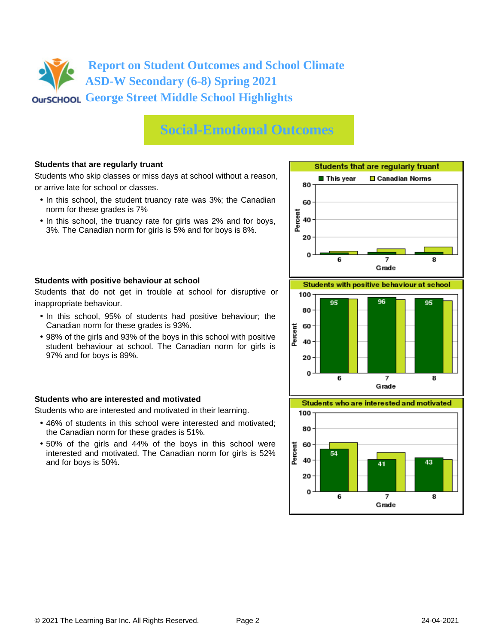## **Social-Emotional Outcomes**

### **Students that are regularly truant**

Students who skip classes or miss days at school without a reason, or arrive late for school or classes.

- In this school, the student truancy rate was 3%; the Canadian norm for these grades is 7%
- In this school, the truancy rate for girls was 2% and for boys, 3%. The Canadian norm for girls is 5% and for boys is 8%.



### **Students with positive behaviour at school**

Students that do not get in trouble at school for disruptive or inappropriate behaviour.

- In this school, 95% of students had positive behaviour; the Canadian norm for these grades is 93%.
- 98% of the girls and 93% of the boys in this school with positive student behaviour at school. The Canadian norm for girls is 97% and for boys is 89%.

### **Students who are interested and motivated**

Students who are interested and motivated in their learning.

- 46% of students in this school were interested and motivated; the Canadian norm for these grades is 51%.
- 50% of the girls and 44% of the boys in this school were interested and motivated. The Canadian norm for girls is 52% and for boys is 50%.





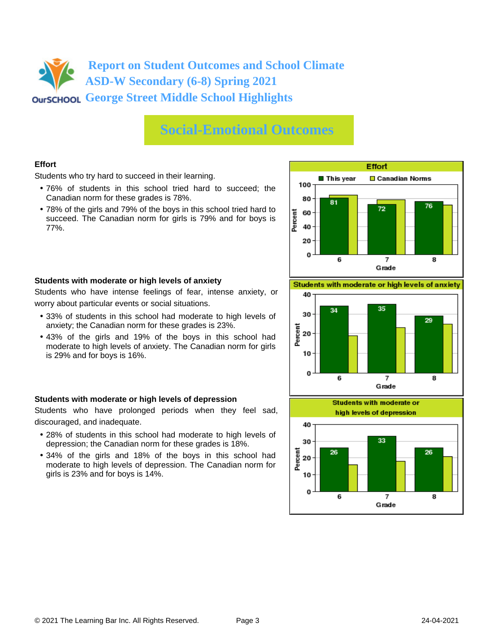# **Social-Emotional Outcomes**

### **Effort**

Students who try hard to succeed in their learning.

- 76% of students in this school tried hard to succeed; the Canadian norm for these grades is 78%.
- 78% of the girls and 79% of the boys in this school tried hard to succeed. The Canadian norm for girls is 79% and for boys is 77%.



### **Students with moderate or high levels of anxiety**

Students who have intense feelings of fear, intense anxiety, or worry about particular events or social situations.

- 33% of students in this school had moderate to high levels of anxiety; the Canadian norm for these grades is 23%.
- 43% of the girls and 19% of the boys in this school had moderate to high levels of anxiety. The Canadian norm for girls is 29% and for boys is 16%.

### **Students with moderate or high levels of depression**

Students who have prolonged periods when they feel sad, discouraged, and inadequate.

- 28% of students in this school had moderate to high levels of depression; the Canadian norm for these grades is 18%.
- 34% of the girls and 18% of the boys in this school had moderate to high levels of depression. The Canadian norm for girls is 23% and for boys is 14%.

Students with moderate or high levels of anxiety



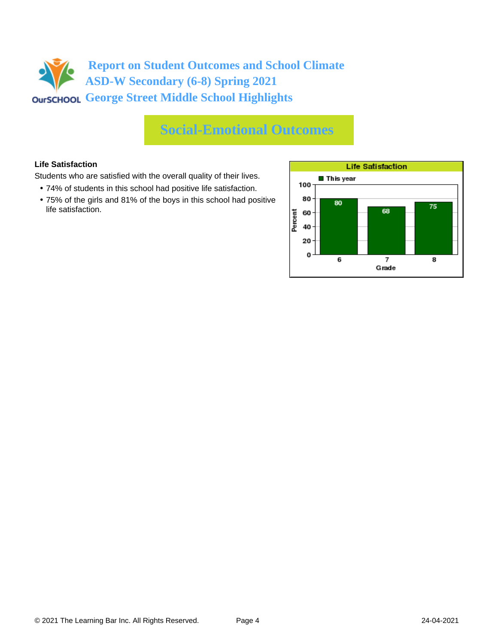## **Social-Emotional Outcomes**

### **Life Satisfaction**

Students who are satisfied with the overall quality of their lives.

- 74% of students in this school had positive life satisfaction.
- 75% of the girls and 81% of the boys in this school had positive life satisfaction.

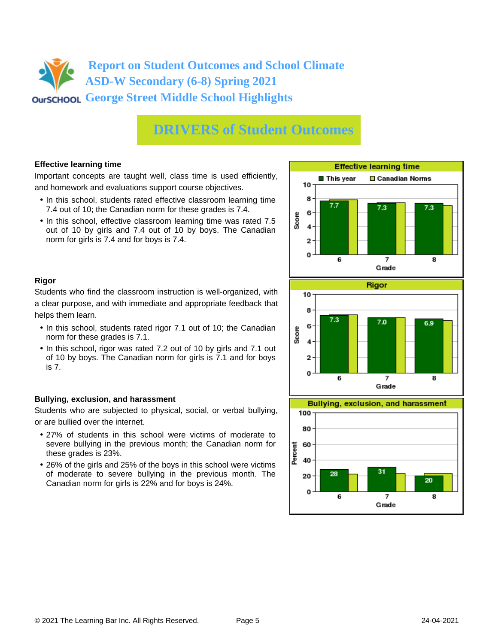## **DRIVERS of Student Outcomes**

### **Effective learning time**

Important concepts are taught well, class time is used efficiently, and homework and evaluations support course objectives.

- In this school, students rated effective classroom learning time 7.4 out of 10; the Canadian norm for these grades is 7.4.
- In this school, effective classroom learning time was rated 7.5 out of 10 by girls and 7.4 out of 10 by boys. The Canadian norm for girls is 7.4 and for boys is 7.4.



### **Rigor**

Students who find the classroom instruction is well-organized, with a clear purpose, and with immediate and appropriate feedback that helps them learn.

- In this school, students rated rigor 7.1 out of 10; the Canadian norm for these grades is 7.1.
- In this school, rigor was rated 7.2 out of 10 by girls and 7.1 out of 10 by boys. The Canadian norm for girls is 7.1 and for boys is 7.

### **Bullying, exclusion, and harassment**

Students who are subjected to physical, social, or verbal bullying, or are bullied over the internet.

- 27% of students in this school were victims of moderate to severe bullying in the previous month; the Canadian norm for these grades is 23%.
- 26% of the girls and 25% of the boys in this school were victims of moderate to severe bullying in the previous month. The Canadian norm for girls is 22% and for boys is 24%.



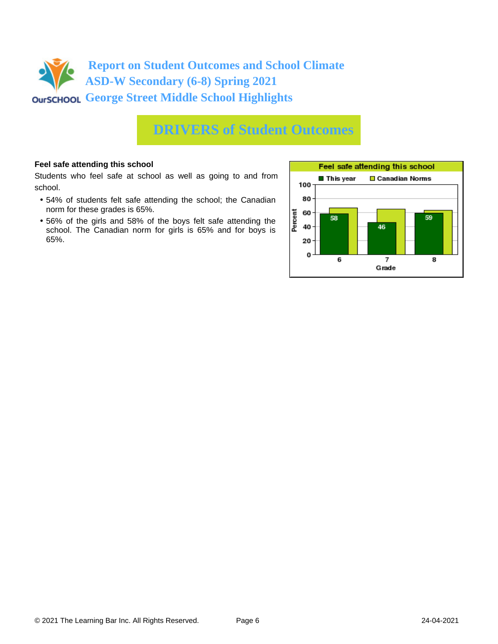

### **DRIVERS of Student Outcomes**

### **Feel safe attending this school**

Students who feel safe at school as well as going to and from school.

- 54% of students felt safe attending the school; the Canadian norm for these grades is 65%.
- 56% of the girls and 58% of the boys felt safe attending the school. The Canadian norm for girls is 65% and for boys is 65%.

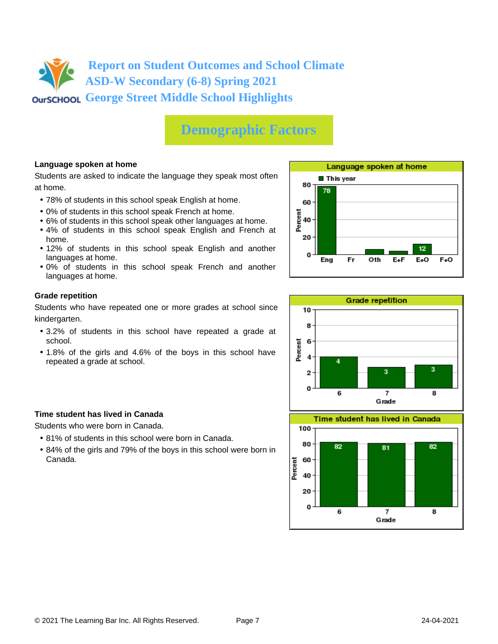

## **Demographic Factors**

### **Language spoken at home**

Students are asked to indicate the language they speak most often at home.

- 78% of students in this school speak English at home.
- 0% of students in this school speak French at home.
- 6% of students in this school speak other languages at home.
- 4% of students in this school speak English and French at home.
- 12% of students in this school speak English and another languages at home.
- 0% of students in this school speak French and another languages at home.

### **Grade repetition**

Students who have repeated one or more grades at school since kindergarten.

- 3.2% of students in this school have repeated a grade at school.
- 1.8% of the girls and 4.6% of the boys in this school have repeated a grade at school.

### **Time student has lived in Canada**

Students who were born in Canada.

- 81% of students in this school were born in Canada.
- 84% of the girls and 79% of the boys in this school were born in Canada.





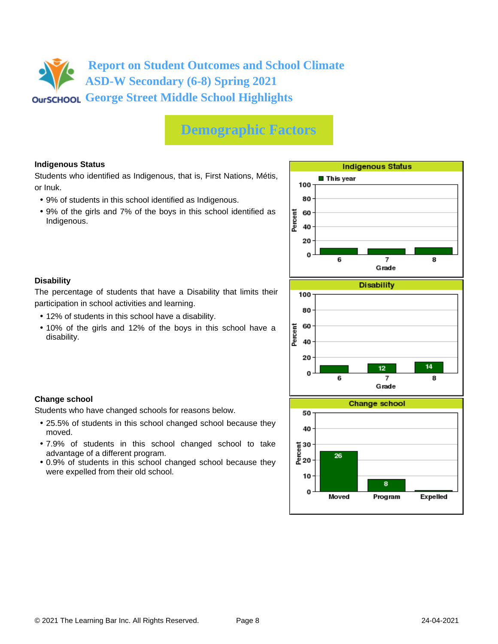## **Demographic Factors**

### **Indigenous Status**

Students who identified as Indigenous, that is, First Nations, Métis, or Inuk.

- 9% of students in this school identified as Indigenous.
- 9% of the girls and 7% of the boys in this school identified as Indigenous.



### **Disability**

**Change school**

moved.

The percentage of students that have a Disability that limits their participation in school activities and learning.

• 12% of students in this school have a disability.

Students who have changed schools for reasons below.

advantage of a different program.

were expelled from their old school.

• 10% of the girls and 12% of the boys in this school have a disability.

• 25.5% of students in this school changed school because they

• 7.9% of students in this school changed school to take

• 0.9% of students in this school changed school because they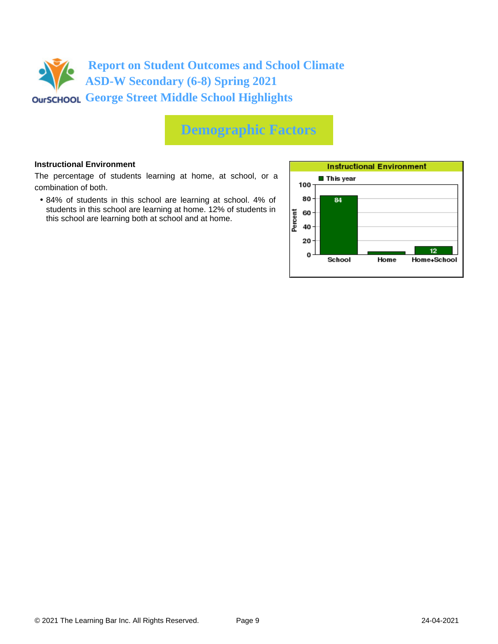

## **Demographic Factors**

### **Instructional Environment**

The percentage of students learning at home, at school, or a combination of both.

• 84% of students in this school are learning at school. 4% of students in this school are learning at home. 12% of students in this school are learning both at school and at home.

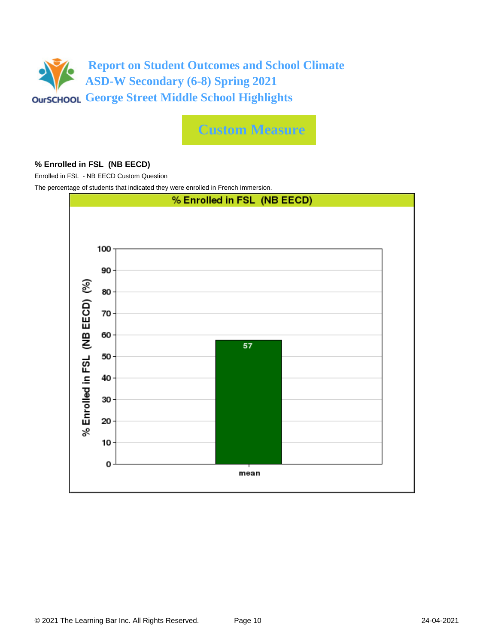

**Custom Measure**

### **% Enrolled in FSL (NB EECD)**

Enrolled in FSL - NB EECD Custom Question

The percentage of students that indicated they were enrolled in French Immersion.

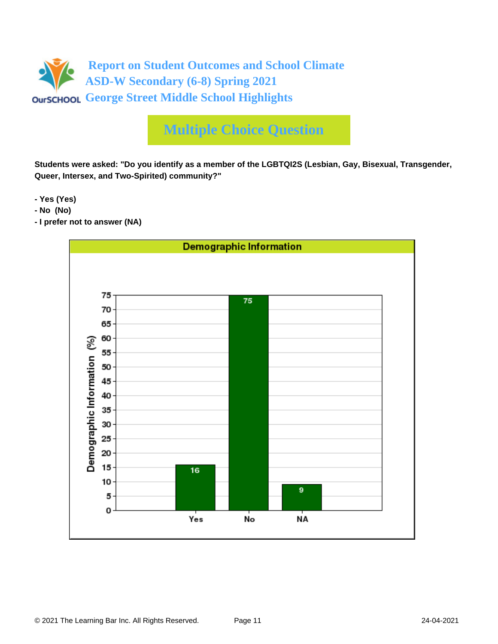

**Students were asked: "Do you identify as a member of the LGBTQI2S (Lesbian, Gay, Bisexual, Transgender, Queer, Intersex, and Two-Spirited) community?"**

**- Yes (Yes)**

- **No (No)**
- **I prefer not to answer (NA)**

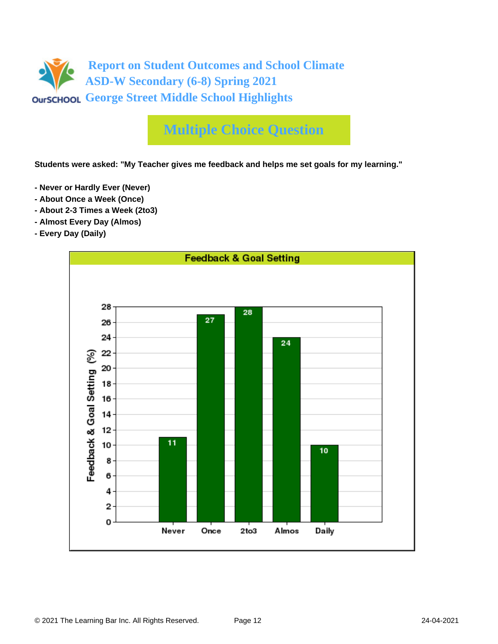

**Students were asked: "My Teacher gives me feedback and helps me set goals for my learning."**

- **Never or Hardly Ever (Never)**
- **About Once a Week (Once)**
- **About 2-3 Times a Week (2to3)**
- **Almost Every Day (Almos)**
- **Every Day (Daily)**

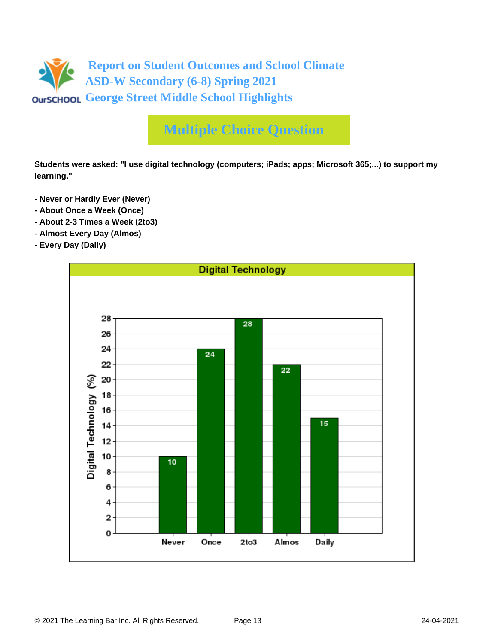

**Students were asked: "I use digital technology (computers; iPads; apps; Microsoft 365;...) to support my learning."**

- **Never or Hardly Ever (Never)**
- **About Once a Week (Once)**
- **About 2-3 Times a Week (2to3)**
- **Almost Every Day (Almos)**
- **Every Day (Daily)**

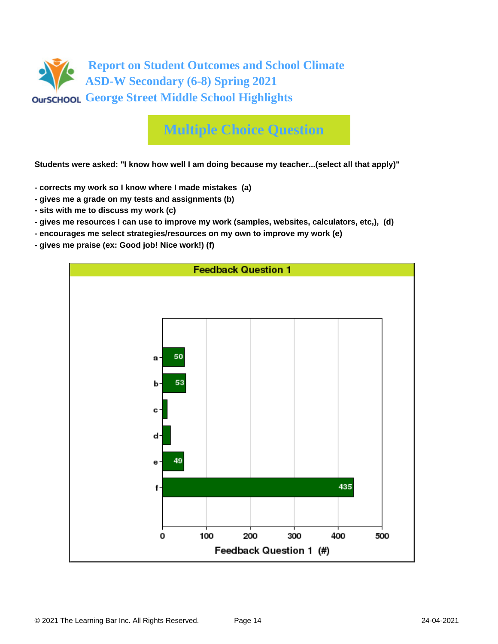

**Students were asked: "I know how well I am doing because my teacher...(select all that apply)"**

- **corrects my work so I know where I made mistakes (a)**
- **gives me a grade on my tests and assignments (b)**
- **sits with me to discuss my work (c)**
- **gives me resources I can use to improve my work (samples, websites, calculators, etc,), (d)**
- **encourages me select strategies/resources on my own to improve my work (e)**
- **gives me praise (ex: Good job! Nice work!) (f)**